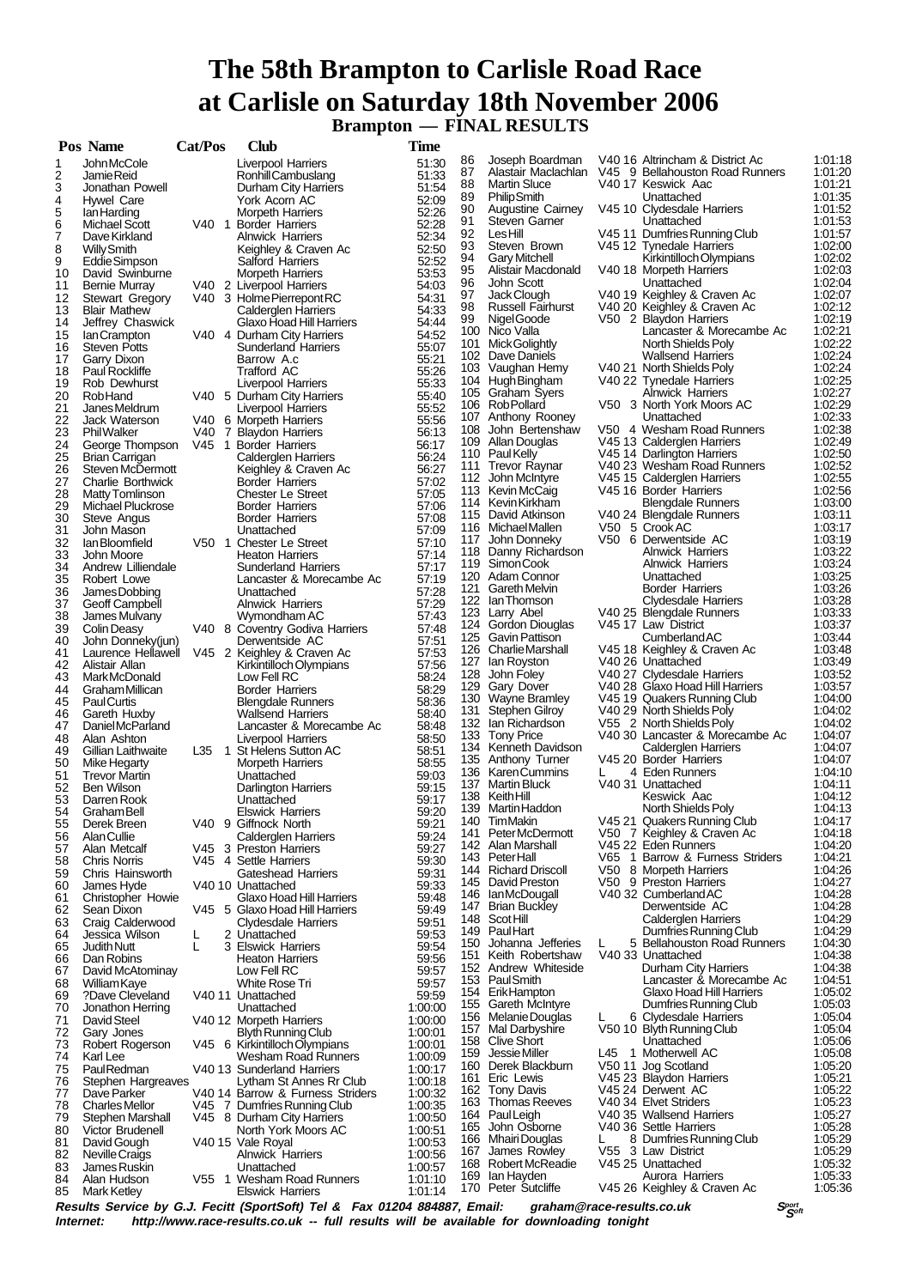# **The 58th Brampton to Carlisle Road Race at Carlisle on Saturday 18th November 2006 Brampton — FINAL RESULTS**

|          | Pos Name                       |   | Cat/Pos | <b>Club</b>                             | Time           |          |                                    |   |                                               |                    |
|----------|--------------------------------|---|---------|-----------------------------------------|----------------|----------|------------------------------------|---|-----------------------------------------------|--------------------|
| 1        | John McCole                    |   |         | Liverpool Harriers                      | 51:30          | 86       | Joseph Boardman                    |   | V40 16 Altrincham & District Ac               | 1:01:18            |
| 2        | Jamie Reid                     |   |         | Ronhill Cambuslang                      | 51:33          | 87       | Alastair Maclachlan                |   | V45 9 Bellahouston Road Runners               | 1:01:20            |
| 3        | Jonathan Powell                |   |         | Durham City Harriers                    | 51:54          | 88       | <b>Martin Sluce</b>                |   | V40 17 Keswick Aac                            | 1:01:21            |
| 4        | Hywel Care                     |   |         | York Acorn AC                           | 52:09          | 89       | <b>PhilipSmith</b>                 |   | Unattached                                    | 1:01:35            |
| 5        | lan Harding                    |   |         | <b>Morpeth Harriers</b>                 | 52:26          | 90       | <b>Augustine Cairney</b>           |   | V45 10 Clydesdale Harriers                    | 1:01:52            |
| 6        | Michael Scott                  |   |         | V40 1 Border Harriers                   | 52:28          | 91       | <b>Steven Garner</b>               |   | Unattached                                    | 1:01:53            |
| 7        | Dave Kirkland                  |   |         | <b>Alnwick Harriers</b>                 | 52:34          | 92       | LesHill                            |   | V45 11 Dumfries Running Club                  | 1:01:57            |
| 8        | <b>Willy Smith</b>             |   |         | Keighley & Craven Ac                    | 52:50          | 93       | Steven Brown                       |   | V45 12 Tynedale Harriers                      | 1:02:00            |
| 9        | Eddie Simpson                  |   |         | Salford Harriers                        | 52:52          | 94       | <b>Gary Mitchell</b>               |   | Kirkintilloch Olympians                       | 1:02:02            |
| 10       | David Swinburne                |   |         | <b>Morpeth Harriers</b>                 | 53.53          | 95<br>96 | Alistair Macdonald                 |   | V40 18 Morpeth Harriers                       | 1:02:03<br>1:02:04 |
| 11       | Bernie Murray                  |   |         | V40 2 Liverpool Harriers                | 54:03          | 97       | John Scott<br>Jack Clough          |   | Unattached<br>V40 19 Keighley & Craven Ac     | 1:02:07            |
| 12       | <b>Stewart Gregory</b>         |   |         | V40 3 Holme Pierrepont RC               | 54:31          | 98       | <b>Russell Fairhurst</b>           |   | V40 20 Keighley & Craven Ac                   | 1:02:12            |
| 13       | <b>Blair Mathew</b>            |   |         | Calderglen Harriers                     | 54:33          | 99       | Nigel Goode                        |   | V50 2 Blaydon Harriers                        | 1:02:19            |
| 14       | Jeffrey Chaswick               |   |         | Glaxo Hoad Hill Harriers                | 54:44          |          | 100 Nico Valla                     |   | Lancaster & Morecambe Ac                      | 1:02:21            |
| 15       | lan Crampton                   |   |         | V40 4 Durham City Harriers              | 54:52          | 101      | Mick Golightly                     |   | North Shields Poly                            | 1:02:22            |
| 16       | <b>Steven Potts</b>            |   |         | <b>Sunderland Harriers</b>              | 55:07<br>55:21 |          | 102 Dave Daniels                   |   | <b>Wallsend Harriers</b>                      | 1:02:24            |
| 17<br>18 | Garry Dixon<br>Paul Rockliffe  |   |         | Barrow A.c<br>Trafford AC               | 55:26          |          | 103 Vaughan Hemy                   |   | V40 21 North Shields Poly                     | 1:02:24            |
| 19       | Rob Dewhurst                   |   |         | Liverpool Harriers                      | 55:33          |          | 104 Hugh Bingham                   |   | V40 22 Tynedale Harriers                      | 1:02:25            |
| 20       | Rob Hand                       |   |         | V40 5 Durham City Harriers              | 55:40          |          | 105 Graham Syers                   |   | <b>Alnwick Harriers</b>                       | 1:02:27            |
| 21       | Janes Meldrum                  |   |         | Liverpool Harriers                      | 55:52          |          | 106 Rob Pollard                    |   | V50 3 North York Moors AC                     | 1:02:29            |
| 22       | Jack Waterson                  |   |         | V40 6 Morpeth Harriers                  | 55:56          | 107      | Anthony Rooney                     |   | Unattached                                    | 1:02:33            |
| 23       | <b>Phil Walker</b>             |   |         | V40 7 Blaydon Harriers                  | 56:13          | 108      | John Bertenshaw                    |   | V50 4 Wesham Road Runners                     | 1:02:38            |
| 24       | George Thompson                |   |         | V45 1 Border Harriers                   | 56:17          |          | 109 Allan Douglas                  |   | V45 13 Calderglen Harriers                    | 1:02:49            |
| 25       | <b>Brian Carrigan</b>          |   |         | Calderglen Harriers                     | 56:24          |          | 110 Paul Kelly                     |   | V45 14 Darlington Harriers                    | 1:02:50            |
| 26       | Steven McDermott               |   |         | Keighley & Craven Ac                    | 56:27          |          | 111 Trevor Raynar                  |   | V40 23 Wesham Road Runners                    | 1:02:52            |
| 27       | Charlie Borthwick              |   |         | <b>Border Harriers</b>                  | 57:02          |          | 112 John McIntyre                  |   | V45 15 Calderglen Harriers                    | 1:02:55            |
| 28       | <b>Matty Tomlinson</b>         |   |         | <b>Chester Le Street</b>                | 57:05          |          | 113 Kevin McCaig                   |   | V45 16 Border Harriers                        | 1:02:56            |
| 29       | Michael Pluckrose              |   |         | <b>Border Harriers</b>                  | 57:06          |          | 114 Kevin Kirkham                  |   | <b>Blengdale Runners</b>                      | 1:03:00            |
| 30       | Steve Angus                    |   |         | <b>Border Harriers</b>                  | 57:08          |          | 115 David Atkinson                 |   | V40 24 Blengdale Runners                      | 1:03:11            |
| 31       | John Mason                     |   |         | Unattached                              | 57:09          |          | 116 Michael Mallen                 |   | V50 5 Crook AC                                | 1:03:17            |
| 32       | lan Bloomfield                 |   |         | V50 1 Chester Le Street                 | 57:10          | 117      | John Donneky                       |   | V50 6 Derwentside AC                          | 1:03:19            |
| 33       | John Moore                     |   |         | <b>Heaton Harriers</b>                  | 57:14          |          | 118 Danny Richardson               |   | <b>Alnwick Harriers</b>                       | 1:03:22            |
| 34       | Andrew Lilliendale             |   |         | <b>Sunderland Harriers</b>              | 57:17          |          | 119 Simon Cook                     |   | Alnwick Harriers                              | 1:03:24            |
| 35       | Robert Lowe                    |   |         | Lancaster & Morecambe Ac                | 57:19          |          | 120 Adam Connor                    |   | Unattached                                    | 1:03:25            |
| 36       | James Dobbing                  |   |         | Unattached                              | 57:28          | 121      | <b>Gareth Melvin</b>               |   | <b>Border Harriers</b>                        | 1:03:26            |
| 37       | Geoff Campbell                 |   |         | <b>Alnwick Harriers</b>                 | 57:29          |          | 122 Ian Thomson                    |   | Clydesdale Harriers                           | 1:03:28            |
| 38       | James Mulvany                  |   |         | Wymondham AC                            | 57:43          |          | 123 Larry Abel                     |   | V40 25 Blengdale Runners                      | 1:03:33            |
| 39       | Colin Deasy                    |   |         | V40 8 Coventry Godiva Harriers          | 57:48          |          | 124 Gordon Diouglas                |   | V45 17 Law District                           | 1:03:37            |
| 40       | John Donneky(jun)              |   |         | Derwentside AC                          | 57:51          |          | 125 Gavin Pattison                 |   | CumberlandAC                                  | 1:03:44            |
| 41       | Laurence Hellawell             |   |         | V45 2 Keighley & Craven Ac              | 57:53          |          | 126 Charlie Marshall               |   | V45 18 Keighley & Craven Ac                   | 1:03:48            |
| 42       | Alistair Allan                 |   |         | Kirkintilloch Olympians                 | 57:56          | 127      | lan Royston                        |   | V40 26 Unattached                             | 1:03:49            |
| 43       | MarkMcDonald                   |   |         | Low Fell RC                             | 58:24          | 128      | John Foley                         |   | V40 27 Clydesdale Harriers                    | 1:03:52            |
| 44       | Graham Millican                |   |         | <b>Border Harriers</b>                  | 58:29          | 129      | Gary Dover                         |   | V40 28 Glaxo Hoad Hill Harriers               | 1:03:57            |
| 45       | <b>PaulCurtis</b>              |   |         | <b>Blengdale Runners</b>                | 58:36          |          | 130 Wayne Bramley                  |   | V45 19 Quakers Running Club                   | 1:04:00            |
| 46       | Gareth Huxby                   |   |         | <b>Wallsend Harriers</b>                | 58:40          | 131      | Stephen Gilroy                     |   | V40 29 North Shields Poly                     | 1:04:02            |
| 47       | Daniel McParland               |   |         | Lancaster & Morecambe Ac                | 58:48          |          | 132 Ian Richardson                 |   | V55 2 North Shields Poly                      | 1:04:02            |
| 48       | Alan Ashton                    |   |         | <b>Liverpool Harriers</b>               | 58:50          |          | 133 Tony Price<br>Kenneth Davidson |   | V40 30 Lancaster & Morecambe Ac               | 1:04:07            |
| 49       | Gillian Laithwaite             |   |         | L35 1 St Helens Sutton AC               | 58:51          | 134      | 135 Anthony Turner                 |   | Calderglen Harriers<br>V45 20 Border Harriers | 1:04:07<br>1:04:07 |
| 50       | Mike Hegarty                   |   |         | <b>Morpeth Harriers</b>                 | 58:55          |          | 136 Karen Cummins                  | L | 4 Eden Runners                                | 1:04:10            |
| 51       | <b>Trevor Martin</b>           |   |         | Unattached                              | 59:03          | 137      | Martin Bluck                       |   | V40 31 Unattached                             | 1:04:11            |
| 52       | <b>Ben Wilson</b>              |   |         | Darlington Harriers                     | 59:15          | 138      | KeithHill                          |   | Keswick Aac                                   | 1:04:12            |
| 53       | Darren Rook                    |   |         | Unattached                              | 59:17          |          | 139 Martin Haddon                  |   | North Shields Poly                            | 1:04:13            |
| 54       | Graham Bell                    |   |         | <b>Elswick Harriers</b>                 | 59:20          |          | 140 TimMakin                       |   | V45 21 Quakers Running Club                   | 1:04:17            |
| 55       | Derek Breen                    |   |         | V40 9 Giffnock North                    | 59:21          | 141      | Peter McDermott                    |   | V50 7 Keighley & Craven Ac                    | 1:04:18            |
| 56       | <b>AlanCullie</b>              |   |         | Calderglen Harriers                     | 59:24          |          | 142 Alan Marshall                  |   | V45 22 Eden Runners                           | 1:04:20            |
| 57       | Alan Metcalf                   |   |         | V45 3 Preston Harriers                  | 59:27          |          | 143 PeterHall                      |   | V65 1 Barrow & Furness Striders               | 1:04:21            |
| 58       | <b>Chris Norris</b>            |   |         | V45 4 Settle Harriers                   | 59:30<br>59:31 |          | 144 Richard Driscoll               |   | V50 8 Morpeth Harriers                        | 1:04:26            |
| 59       | Chris Hainsworth<br>James Hyde |   |         | Gateshead Harriers<br>V40 10 Unattached |                |          | 145 David Preston                  |   | V50 9 Preston Harriers                        | 1:04:27            |
| 60<br>61 | <b>Christopher Howie</b>       |   |         | Glaxo Hoad Hill Harriers                | 59:33<br>59:48 | 146      | lan McDougall                      |   | V40 32 Cumberland AC                          | 1:04:28            |
| 62       | Sean Dixon                     |   |         | V45 5 Glaxo Hoad Hill Harriers          | 59:49          | 147      | <b>Brian Buckley</b>               |   | Derwentside AC                                | 1:04:28            |
| 63       | Craig Calderwood               |   |         | <b>Clydesdale Harriers</b>              | 59:51          |          | 148 Scot Hill                      |   | <b>Calderglen Harriers</b>                    | 1:04:29            |
| 64       | Jessica Wilson                 | L |         | 2 Unattached                            | 59.53          |          | 149 PaulHart                       |   | Dumfries Running Club                         | 1:04:29            |
| 65       | <b>Judith Nutt</b>             | L |         | 3 Elswick Harriers                      | 59:54          |          | 150 Johanna Jefferies              | L | 5 Bellahouston Road Runners                   | 1:04:30            |
| 66       | Dan Robins                     |   |         | <b>Heaton Harriers</b>                  | 59:56          | 151      | Keith Robertshaw                   |   | V40 33 Unattached                             | 1:04:38            |
| 67       | David McAtominay               |   |         | Low Fell RC                             | 59:57          |          | 152 Andrew Whiteside               |   | Durham City Harriers                          | 1:04:38            |
| 68       | William Kaye                   |   |         | White Rose Tri                          | 59:57          |          | 153 Paul Smith                     |   | Lancaster & Morecambe Ac                      | 1:04:51            |
| 69       | ?Dave Cleveland                |   |         | V40 11 Unattached                       | 59.59          |          | 154 Erik Hampton                   |   | Glaxo Hoad Hill Harriers                      | 1:05:02            |
| 70       | Jonathon Herring               |   |         | Unattached                              | 1:00:00        |          | 155 Gareth McIntyre                |   | Dumfries Running Club                         | 1:05:03            |
| 71       | David Steel                    |   |         | V40 12 Morpeth Harriers                 | 1:00:00        |          | 156 Melanie Douglas                | L | 6 Clydesdale Harriers                         | 1:05:04            |
| 72       | Gary Jones                     |   |         | <b>Blyth Running Club</b>               | 1:00:01        |          | 157 Mal Darbyshire                 |   | V50 10 Blyth Running Club                     | 1:05:04            |
| 73       | Robert Rogerson                |   |         | V45 6 Kirkintilloch Olympians           | 1:00:01        |          | 158 Clive Short                    |   | Unattached                                    | 1:05:06            |
| 74       | Karl Lee                       |   |         | Wesham Road Runners                     | 1:00:09        | 159      | Jessie Miller                      |   | L45 1 Motherwell AC                           | 1:05:08            |
| 75       | <b>PaulRedman</b>              |   |         | V40 13 Sunderland Harriers              | 1:00:17        |          | 160 Derek Blackburn                |   | V50 11 Jog Scotland                           | 1:05:20            |
| 76       | Stephen Hargreaves             |   |         | Lytham St Annes Rr Club                 | 1:00:18        | 161      | Eric Lewis                         |   | V45 23 Blaydon Harriers                       | 1:05:21            |
| 77       | Dave Parker                    |   |         | V40 14 Barrow & Furness Striders        | 1:00:32        |          | 162 Tony Davis                     |   | V45 24 Derwent AC                             | 1:05:22            |
| 78       | <b>Charles Mellor</b>          |   |         | V45 7 Dumfries Running Club             | 1:00:35        |          | 163 Thomas Reeves                  |   | V40 34 Elvet Striders                         | 1:05:23            |
| 79       | Stephen Marshall               |   |         | V45 8 Durham City Harriers              | 1:00:50        |          | 164 Paul Leigh                     |   | V40 35 Wallsend Harriers                      | 1:05:27            |
| 80       | Victor Brudenell               |   |         | North York Moors AC                     | 1:00:51        |          | 165 John Osborne                   |   | V40 36 Settle Harriers                        | 1:05:28            |
| 81       | David Gough                    |   |         | V40 15 Vale Royal                       | 1:00:53        |          | 166 Mhairi Douglas                 | L | 8 Dumfries Running Club                       | 1:05:29            |
| 82       | Neville Craigs                 |   |         | <b>Alnwick Harriers</b>                 | 1:00:56        | 167      | James Rowley                       |   | V55 3 Law District                            | 1:05:29            |
| 83       | James Ruskin                   |   |         | Unattached                              | 1:00:57        | 168      | Robert McReadie                    |   | V45 25 Unattached                             | 1:05:32            |
| 84       | Alan Hudson                    |   |         | V55 1 Wesham Road Runners               | 1:01:10        |          | 169 Ian Hayden                     |   | Aurora Harriers                               | 1:05:33            |
| 85       | <b>Mark Ketley</b>             |   |         | <b>Elswick Harriers</b>                 | 1:01:14        |          | 170 Peter Sutcliffe                |   | V45 26 Keighley & Craven Ac                   | 1:05:36            |

**Results Service by G.J. Fecitt (SportSoft) Tel & Fax 01204 884887, Email: graham@race-results.co.uk S<sup>port</sup>on S<sup>port</sup>on Constant Constant Constant Constant Constant Constant Constant Constant Constant Property Internet: h** http://www.race-results.co.uk -- full results will be available for downloading tonight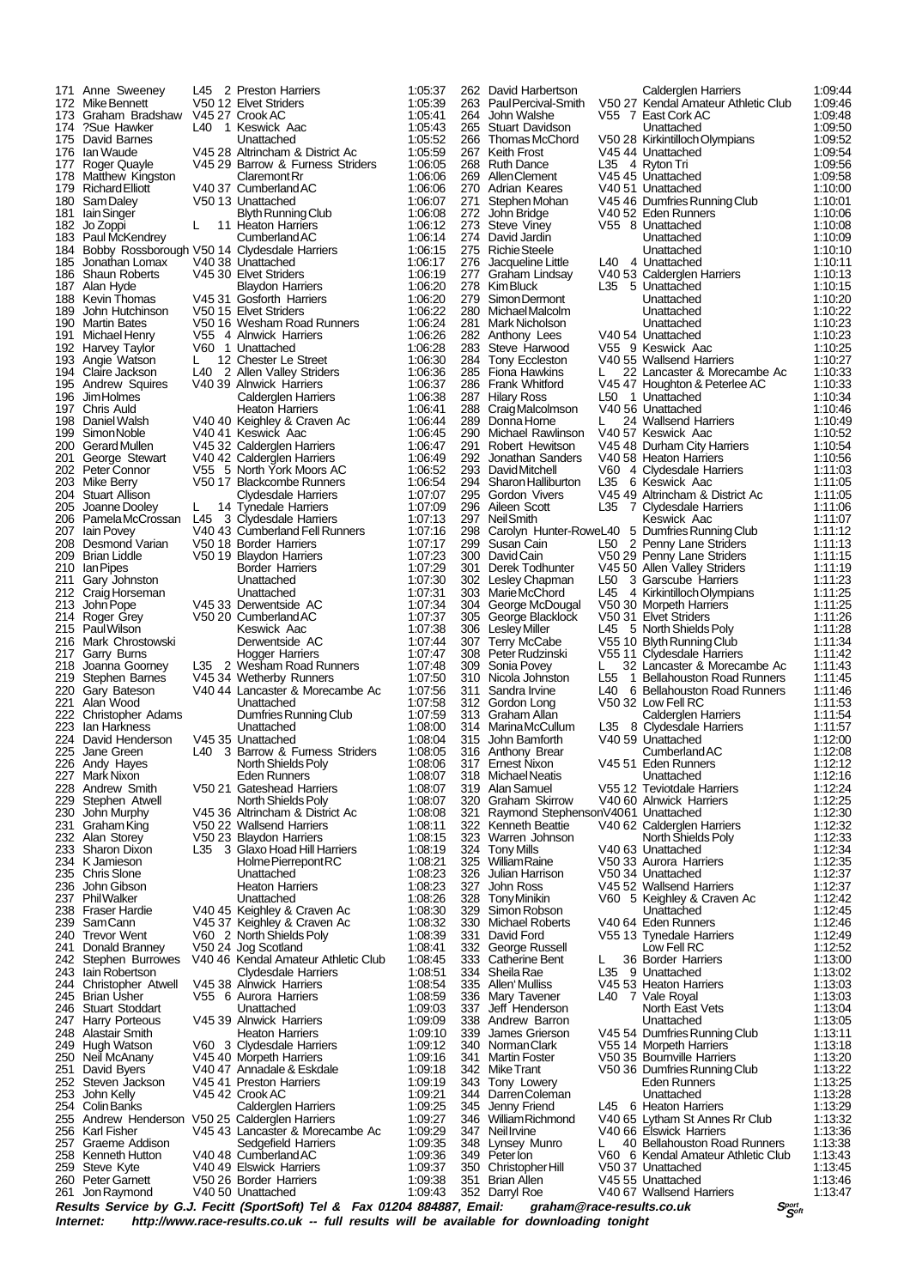|            | 171 Anne Sweeney                                | L45 | 2 Preston Harriers                                         | 1:05:37                |            | 262 David Harbertson                    |                        | Calderglen Harriers                                    | 1:09:44            |
|------------|-------------------------------------------------|-----|------------------------------------------------------------|------------------------|------------|-----------------------------------------|------------------------|--------------------------------------------------------|--------------------|
|            | 172 Mike Bennett                                |     | V50 12 Elvet Striders                                      | 1:05:39                | 263        | Paul Percival-Smith                     |                        | V50 27 Kendal Amateur Athletic Club                    | 1:09:46            |
| 173<br>174 | Graham Bradshaw<br>?Sue Hawker                  | L40 | V45 27 Crook AC<br>1 Keswick Aac                           | 1:05:41<br>1:05:43     | 264<br>265 | John Walshe<br>Stuart Davidson          |                        | V55 7 East Cork AC<br>Unattached                       | 1:09:48<br>1:09:50 |
| 175        | David Barnes                                    |     | Unattached                                                 | 1:05:52                | 266        | Thomas McChord                          |                        | V50 28 Kirkintilloch Olympians                         | 1:09:52            |
| 176        | lan Waude                                       |     | V45 28 Altrincham & District Ac                            | 1:05:59                | 267        | Keith Frost                             |                        | V4544 Unattached                                       | 1:09:54            |
|            | 177 Roger Quayle                                |     | V45 29 Barrow & Furness Striders                           | 1:06:05                |            | 268 Ruth Dance                          |                        | L35 4 Ryton Tri                                        | 1:09:56            |
|            | 178 Matthew Kingston                            |     | Claremont Rr                                               | 1:06:06                | 269        | Allen Clement                           |                        | V45 45 Unattached                                      | 1:09:58            |
| 179        | <b>Richard Elliott</b>                          |     | V40 37 Cumberland AC                                       | 1:06:06                | 270        | Adrian Keares                           |                        | V40 51 Unattached                                      | 1:10:00            |
| 180<br>181 | Sam Daley<br>lain Singer                        |     | V50 13 Unattached<br>Blyth Running Club                    | 1:06:07<br>1:06:08     | 271        | Stephen Mohan<br>272 John Bridge        |                        | V45 46 Dumfries Running Club<br>V40 52 Eden Runners    | 1:10:01<br>1:10:06 |
|            | 182 Jo Zoppi                                    | L   | 11 Heaton Harriers                                         | 1:06:12                | 273        | Steve Viney                             |                        | V55 8 Unattached                                       | 1:10:08            |
|            | 183 Paul McKendrey                              |     | Cumberland AC                                              | 1:06:14                | 274        | David Jardin                            |                        | Unattached                                             | 1:10:09            |
| 184        | Bobby Rossborough V50 14 Clydesdale Harriers    |     |                                                            | 1:06:15                |            | 275 Richie Steele                       |                        | Unattached                                             | 1:10:10            |
| 185        | Jonathan Lomax                                  |     | V40 38 Unattached                                          | 1:06:17                | 276        | Jacqueline Little                       |                        | L40 4 Unattached                                       | 1:10:11            |
| 186        | <b>Shaun Roberts</b>                            |     | V45 30 Elvet Striders                                      | 1:06:19                | 277        | Graham Lindsay                          |                        | V40 53 Calderglen Harriers                             | 1:10:13            |
|            | 187 Alan Hyde                                   |     | <b>Blaydon Harriers</b><br>V45 31 Gosforth Harriers        | 1:06:20                | 278<br>279 | Kim Bluck                               | L35                    | 5 Unattached                                           | 1:10:15            |
| 189        | 188 Kevin Thomas<br>John Hutchinson             |     | V50 15 Elvet Striders                                      | 1:06:20<br>1:06:22     | 280        | Simon Dermont<br>Michael Malcolm        |                        | Unattached<br>Unattached                               | 1:10:20<br>1:10:22 |
| 190        | Martin Bates                                    |     | V50 16 Wesham Road Runners                                 | 1:06:24                |            | 281 Mark Nicholson                      |                        | Unattached                                             | 1:10:23            |
| 191        | Michael Henry                                   |     | V55 4 Alnwick Harriers                                     | 1:06:26                |            | 282 Anthony Lees                        |                        | V40 54 Unattached                                      | 1:10:23            |
|            | 192 Harvey Taylor                               |     | V60 1 Unattached                                           | 1:06:28                | 283        | Steve Harwood                           |                        | V55 9 Keswick Aac                                      | 1:10:25            |
| 193        | Angie Watson                                    | L.  | 12 Chester Le Street                                       | 1:06:30                | 284        | Tony Eccleston                          |                        | V40 55 Wallsend Harriers                               | 1:10:27            |
|            | 194 Claire Jackson<br>195 Andrew Squires        |     | L40 2 Allen Valley Striders<br>V40 39 Alnwick Harriers     | 1:06:36<br>1:06:37     | 286        | 285 Fiona Hawkins<br>Frank Whitford     | L.                     | 22 Lancaster & Morecambe Ac                            | 1:10:33<br>1:10:33 |
| 196        | Jim Holmes                                      |     | Calderglen Harriers                                        | 1:06:38                |            | 287 Hilary Ross                         |                        | V45 47 Houghton & Peterlee AC<br>L50 1 Unattached      | 1:10:34            |
|            | 197 Chris Auld                                  |     | <b>Heaton Harriers</b>                                     | 1:06:41                |            | 288 Craig Malcolmson                    |                        | V40 56 Unattached                                      | 1:10:46            |
| 198        | Daniel Walsh                                    |     | V40 40 Keighley & Craven Ac                                | 1:06:44                | 289        | Donna Horne                             |                        | 24 Wallsend Harriers                                   | 1:10:49            |
| 199        | Simon Noble                                     |     | V4041 Keswick Aac                                          | 1:06:45                | 290        | Michael Rawlinson                       |                        | V40 57 Keswick Aac                                     | 1:10:52            |
| 200        | Gerard Mullen                                   |     | V45 32 Calderglen Harriers                                 | 1:06:47                | 291        | Robert Hewitson                         |                        | V45 48 Durham City Harriers                            | 1:10:54            |
| 201        | George Stewart                                  |     | V40 42 Calderglen Harriers<br>V55 5 North York Moors AC    | 1:06:49                | 292<br>293 | Jonathan Sanders                        |                        | V40 58 Heaton Harriers                                 | 1:10:56            |
|            | 202 Peter Connor<br>203 Mike Berry              |     | V50 17 Blackcombe Runners                                  | 1:06:52<br>1:06:54     | 294        | David Mitchell<br>Sharon Halliburton    |                        | V60 4 Clydesdale Harriers<br>L35 6 Keswick Aac         | 1:11:03<br>1:11:05 |
|            | 204 Stuart Allison                              |     | Clydesdale Harriers                                        | 1:07:07                | 295        | Gordon Vivers                           |                        | V45 49 Altrincham & District Ac                        | 1:11:05            |
| 205        | Joanne Dooley                                   | L   | 14 Tynedale Harriers                                       | 1:07:09                | 296        | Aileen Scott                            | L35                    | 7 Clydesdale Harriers                                  | 1:11:06            |
| 206        | Pamela McCrossan                                | L45 | 3 Clydesdale Harriers                                      | 1:07:13                | 297        | <b>NeilSmith</b>                        |                        | Keswick Aac                                            | 1:11:07            |
| 207        | lain Povey                                      |     | V40 43 Cumberland Fell Runners                             | 1:07:16                | 298        |                                         |                        | Carolyn Hunter-RoweL40 5 Dumfries Running Club         | 1:11:12            |
| 208        | Desmond Varian                                  |     | V50 18 Border Harriers                                     | 1:07:17                | 299        | Susan Cain                              |                        | L50 2 Penny Lane Striders                              | 1:11:13            |
| 209        | <b>Brian Liddle</b>                             |     | V50 19 Blaydon Harriers                                    | 1:07:23                |            | 300 David Cain                          |                        | V50 29 Penny Lane Striders                             | 1:11:15            |
| 211        | 210 Ian Pipes                                   |     | Border Harriers<br>Unattached                              | 1:07:29<br>1:07:30     | 301        | Derek Todhunter                         | L50                    | V45 50 Allen Valley Striders                           | 1:11:19<br>1:11:23 |
| 212        | Gary Johnston<br>Craig Horseman                 |     | Unattached                                                 | 1:07:31                |            | 302 Lesley Chapman<br>303 Marie McChord | L45                    | 3 Garscube Harriers<br>4 Kirkintilloch Olympians       | 1:11:25            |
| 213        | John Pope                                       |     | V45 33 Derwentside AC                                      | 1:07:34                |            | 304 George McDougal                     |                        | V50 30 Morpeth Harriers                                | 1:11:25            |
| 214        | Roger Grey                                      |     | V50 20 Cumberland AC                                       | 1:07:37                |            | 305 George Blacklock                    |                        | V50 31 Elvet Striders                                  | 1:11:26            |
|            | 215 Paul Wilson                                 |     | Keswick Aac                                                | 1:07:38                |            | 306 Lesley Miller                       |                        | L45 5 North Shields Poly                               | 1:11:28            |
| 216        | Mark Chrostowski                                |     | Derwentside AC                                             | 1:07:44                |            | 307 Terry McCabe                        |                        | V55 10 Blyth Running Club                              | 1:11:34            |
| 217        | Garry Burns                                     |     | <b>Hogger Harriers</b>                                     | 1:07:47                |            | 308 Peter Rudzinski                     |                        | V55 11 Clydesdale Harriers                             | 1:11:42            |
| 218        | Joanna Goorney                                  |     | L35 2 Wesham Road Runners                                  | 1:07:48                | 309        | Sonia Povey                             | L                      | 32 Lancaster & Morecambe Ac                            | 1:11:43            |
| 219        | Stephen Barnes                                  |     | V45 34 Wetherby Runners<br>V40 44 Lancaster & Morecambe Ac | 1:07:50                | 310        | Nicola Johnston<br>Sandra Irvine        | L <sub>55</sub><br>L40 | 1 Bellahouston Road Runners                            | 1:11:45            |
| 221        | 220 Gary Bateson<br>Alan Wood                   |     | Unattached                                                 | 1:07:56<br>1:07:58     | 311        | 312 Gordon Long                         |                        | 6 Bellahouston Road Runners<br>V50 32 Low Fell RC      | 1:11:46<br>1:11:53 |
|            | 222 Christopher Adams                           |     | Dumfries Running Club                                      | 1:07:59                | 313        | Graham Allan                            |                        | Calderglen Harriers                                    | 1:11:54            |
| 223        | lan Harkness                                    |     | Unattached                                                 | 1:08:00                |            | 314 MarinaMcCullum                      |                        | L35 8 Clydesdale Harriers                              | 1:11:57            |
| 224        | David Henderson                                 |     | V45 35 Unattached                                          | 1:08:04                | 315        | John Bamforth                           |                        | V40 59 Unattached                                      | 1:12:00            |
|            | 225 Jane Green                                  |     | L40 3 Barrow & Furness Striders                            | 1:08:05                |            | 316 Anthony Brear                       |                        | CumberlandAC                                           | 1:12:08            |
|            | 226 Andy Hayes                                  |     | North Shields Poly                                         | 1:08:06                |            | 317 Ernest Nixon                        |                        | V45 51 Eden Runners                                    | 1:12:12            |
| 227        | Mark Nixon                                      |     | Eden Runners                                               | 1:08:07                |            | 318 Michael Neatis                      |                        | Unattached                                             | 1:12:16            |
| 229        | 228 Andrew Smith<br>Stephen Atwell              |     | V50 21 Gateshead Harriers<br>North Shields Poly            | 1:08:07<br>1:08:07     | 320        | 319 Alan Samuel<br>Graham Skirrow       |                        | V55 12 Teviotdale Harriers<br>V40 60 Alnwick Harriers  | 1:12:24<br>1:12:25 |
| 230        | John Murphy                                     |     | V45 36 Altrincham & District Ac                            | 1:08:08                | 321        | Raymond StephensonV4061 Unattached      |                        |                                                        | 1:12:30            |
| 231        | Graham King                                     |     | V50 22 Wallsend Harriers                                   | 1:08:11                |            | 322 Kenneth Beattie                     |                        | V40 62 Calderglen Harriers                             | 1:12:32            |
|            | 232 Alan Storey                                 |     | V50 23 Blaydon Harriers                                    | 1:08:15                | 323        | Warren Johnson                          |                        | North Shields Poly                                     | 1:12:33            |
|            | 233 Sharon Dixon                                |     | L35 3 Glaxo Hoad Hill Harriers                             | 1:08:19                | 324        | <b>Tony Mills</b>                       |                        | V40 63 Unattached                                      | 1:12:34            |
|            | 234 K Jamieson                                  |     | Holme Pierrepont RC                                        | 1:08:21                | 325        | WilliamRaine                            |                        | V50 33 Aurora Harriers                                 | 1:12:35            |
| 236        | 235 Chris Slone<br>John Gibson                  |     | Unattached<br><b>Heaton Harriers</b>                       | 1:08:23                | 326<br>327 | Julian Harrison                         |                        | V50 34 Unattached                                      | 1:12:37            |
|            | 237 PhilWalker                                  |     | Unattached                                                 | 1:08:23<br>1:08:26     |            | John Ross<br>328 Tony Minikin           |                        | V45 52 Wallsend Harriers<br>V60 5 Keighley & Craven Ac | 1:12:37<br>1:12:42 |
|            | 238 Fraser Hardie                               |     | V40 45 Keighley & Craven Ac                                | 1:08:30                | 329        | Simon Robson                            |                        | Unattached                                             | 1:12:45            |
|            | 239 SamCann                                     |     | V45 37 Keighley & Craven Ac                                | 1:08:32                |            | 330 Michael Roberts                     |                        | V40 64 Eden Runners                                    | 1:12:46            |
|            | 240 Trevor Went                                 |     | V60 2 North Shields Poly                                   | 1:08:39                |            | 331 David Ford                          |                        | V55 13 Tynedale Harriers                               | 1:12:49            |
| 241        | Donald Branney                                  |     | V50 24 Jog Scotland                                        | 1:08:41                |            | 332 George Russell                      |                        | Low Fell RC                                            | 1:12:52            |
|            | 242 Stephen Burrowes                            |     | V40 46 Kendal Amateur Athletic Club                        | 1:08:45                | 333        | <b>Catherine Bent</b>                   | L                      | 36 Border Harriers                                     | 1:13:00            |
|            | 243 lain Robertson                              |     | Clydesdale Harriers                                        | 1:08:51                |            | 334 Sheila Rae                          |                        | L35 9 Unattached                                       | 1:13:02            |
|            | 244 Christopher Atwell<br>245 Brian Usher       |     | V45 38 Alnwick Harriers<br>V55 6 Aurora Harriers           | 1:08:54<br>1:08:59     |            | 335 Allen Mulliss<br>336 Mary Tavener   |                        | V45 53 Heaton Harriers<br>L40 7 Vale Royal             | 1:13:03<br>1:13:03 |
|            | 246 Stuart Stoddart                             |     | Unattached                                                 | 1:09:03                |            | 337 Jeff Henderson                      |                        | North East Vets                                        | 1:13:04            |
|            | 247 Harry Porteous                              |     | V45 39 Alnwick Harriers                                    | 1:09:09                |            | 338 Andrew Barron                       |                        | Unattached                                             | 1:13:05            |
|            | 248 Alastair Smith                              |     | <b>Heaton Harriers</b>                                     | 1:09:10                | 339        | James Grierson                          |                        | V45 54 Dumfries Running Club                           | 1:13:11            |
|            | 249 Hugh Watson                                 |     | V60 3 Clydesdale Harriers                                  | 1:09:12                |            | 340 Norman Clark                        |                        | V55 14 Morpeth Harriers                                | 1:13:18            |
|            | 250 Neil McAnany                                |     | V4540 Morpeth Harriers                                     | 1:09:16                | 341        | Martin Foster                           |                        | V50 35 Bournville Harriers                             | 1:13:20            |
|            | 251 David Byers                                 |     | V40 47 Annadale & Eskdale                                  | 1:09:18                |            | 342 Mike Trant                          |                        | V50 36 Dumfries Running Club                           | 1:13:22            |
|            | 252 Steven Jackson                              |     | V45 41 Preston Harriers                                    | 1:09:19                |            | 343 Tony Lowery                         |                        | Eden Runners                                           | 1:13:25            |
| 253        | John Kelly<br>254 Colin Banks                   |     | V45 42 Crook AC<br>Calderglen Harriers                     | 1:09:21<br>1:09:25     |            | 344 Darren Coleman<br>345 Jenny Friend  |                        | Unattached<br>L45 6 Heaton Harriers                    | 1:13:28<br>1:13:29 |
|            | 255 Andrew Henderson V50 25 Calderglen Harriers |     |                                                            | 1:09:27                |            | 346 William Richmond                    |                        | V40 65 Lytham St Annes Rr Club                         | 1:13:32            |
|            | 256 Karl Fisher                                 |     | V45 43 Lancaster & Morecambe Ac                            | 1:09:29                |            | 347 Neil Irvine                         |                        | V40 66 Elswick Harriers                                | 1:13:36            |
|            | 257 Graeme Addison                              |     | Sedgefield Harriers                                        | 1:09:35                |            | 348 Lynsey Munro                        | L                      | 40 Bellahouston Road Runners                           | 1:13:38            |
|            | 258 Kenneth Hutton                              |     | V4048 CumberlandAC                                         | 1:09:36                |            | 349 Peter lon                           |                        | V60 6 Kendal Amateur Athletic Club                     | 1:13:43            |
| 259        | Steve Kyte                                      |     | V40 49 Elswick Harriers                                    | 1:09:37                |            | 350 Christopher Hill                    |                        | V50 37 Unattached                                      | 1:13:45            |
|            | 260 Peter Garnett                               |     | V50 26 Border Harriers                                     | 1:09:38                |            | 351 Brian Allen                         |                        | V45 55 Unattached                                      | 1:13:46            |
|            | 261 Jon Raymond                                 |     | V40 50 Unattached                                          | 1:09:43<br>. <i>. </i> |            | 352 Darryl Roe                          |                        | V40 67 Wallsend Harriers                               | 1:13:47            |

Results Service by G.J. Fecitt (SportSoft) Tel & Fax 01204 884887, Email: graham@race-results.co.uk Sഞ്ഞ<br>Internet: http://www.race-results.co.uk -- full results will be available for downloading tonight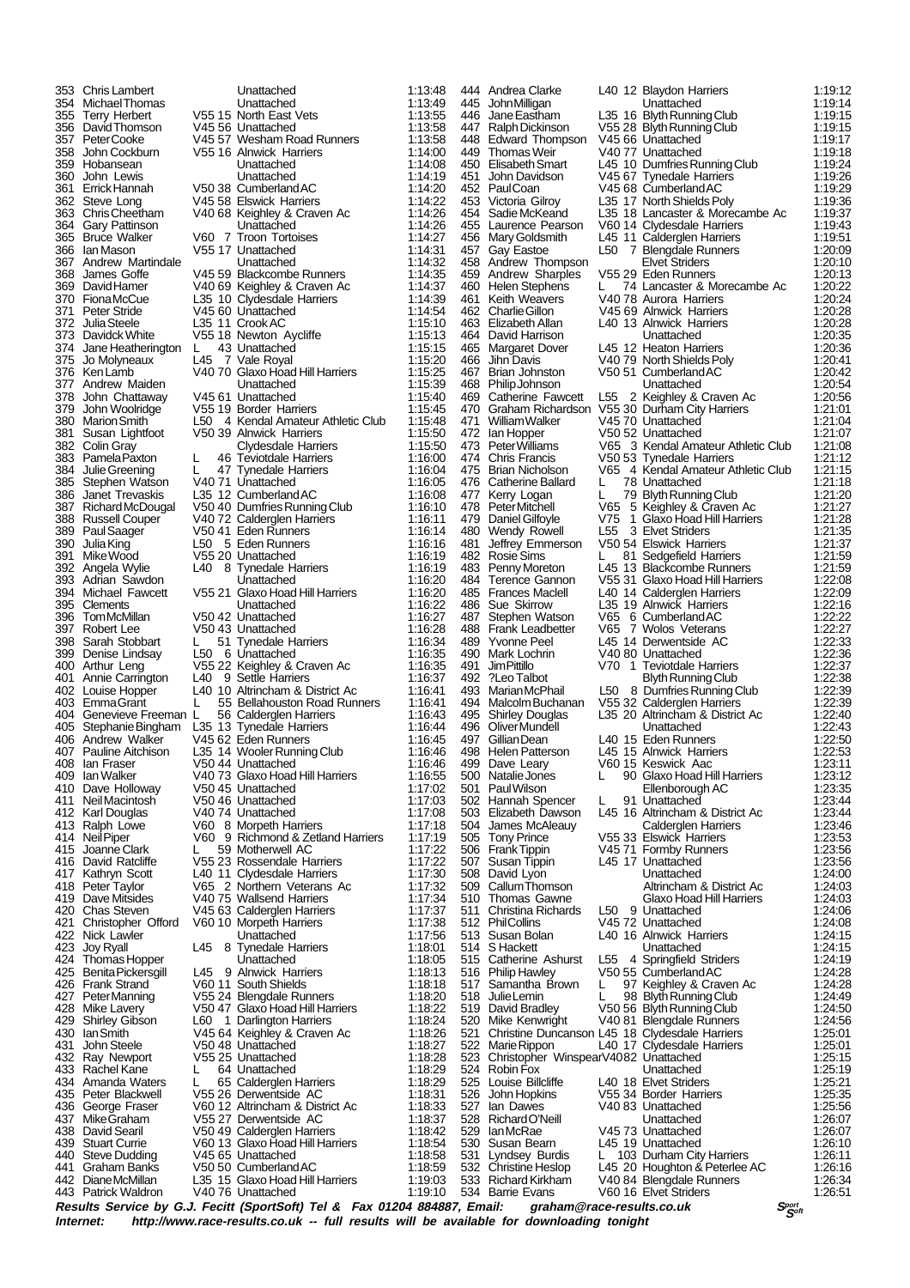364 Gary Pattinson Unattached 1:14:26 390 Julia King L50 5 Eden Runners<br>391 Mike Wood V55.20 Unattached 424 Thomas Hopper<br>425 Benita Pickersgill L45 9 442 Diane McMillan L35 15 Glaxo Hoad Hill Harriers 1:19:03 V40 76 Unattached

353 Chris Lambert Unattached 1:13:48 354 Michael Thomas Unattached 1:13:49 355 Terry Herbert V55 15 North East Vets 1:13:55 356 David Thomson V45 56 Unattached 1:13:58 357 Peter Cooke V45 57 Wesham Road Runners 1:13:58 358 John Cockburn V55 16 Alnwick Harriers 1:14:00 359 Hobansean Unattached 1:14:08<br>360 John Lewis Unattached 1:14:08<br>360 John Lewis Unattached 1:14:19 360 John Lewis Unattached 1:14:19 361 Errick Hannah V50 38 Cumberland AC 1:14:20 362 Steve Long V45 58 Elswick Harriers 1:14:22 363 Chris Cheetham V40 68 Keighley & Craven Ac 1:14:26 365 Bruce Walker V60 7 Troon Tortoises 1:14:27 366 Ian Mason V55 17 Unattached 1:14:31 367 Andrew Martindale Unattached 1:14:32 368 James Goffe V45 59 Blackcombe Runners 1:14:35<br>369 David Hamer V40 69 Keighley & Craven Ac 1:14:35 369 David Hamer V40 69 Keighley & Craven Ac 1:14:37 370 Fiona McCue L35 10 Clydesdale Harriers 1:14:39 371 Peter Stride  $\overline{0.372}$  Unattached 1:14:54<br>372 Julia Steele 1:35 11 Crook AC 1:15:10 372 Julia Steele L35 11 Crook AC 1:15:10 373 Davidck White V55 18 Newton Aycliffe 1:15:13<br>374 Jane Heatherington L 43 Unattached 1:15:15 374 Jane Heatherington L 43 Unattached 1:15:15 375 Jo Molyneaux [145 | 7 Vale Royal | 115:20<br>376 Ken Lamb | 115:25 V40 70 Glaxo Hoad Hill Harriers | 115:25 376 Ken Lamb  $\overline{V40}$  70 Glaxo Hoad Hill Harriers 1:15:25<br>377 Andrew Maiden Llnattached 1:15:39 377 Andrew Maiden Unattached 1:15:39 378 John Chattaway V45 61 Unattached 1:15:40 379 John Woolridge V55 19 Border Harriers (115.45<br>380 Marion Smith L50 4 Kendal Amateur Athletic Club 1:15:45 380 Marion Smith L50 4 Kendal Amateur Athletic Club 1:15:48 381 Susan Lightfoot V50 39 Alnwick Harriers 1:15:50 382 Colin Gray Clydesdale Harriers 1:15:50 383 Pamela Paxton L 46 Teviotdale Harriers 1:16:00<br>384 Julie Greening L 47 Tynedale Harriers 1:16:04<br>385 Stephen Watson V40 71 Unattached 1:16:05 384 Julie Greening L 47 Tynedale Harriers 1:16:04 385 Stephen Watson V40 71 Unattached 1:16:05 386 Janet Trevaskis 1.35 12 Cumberland AC 1:16:08<br>387 Richard McDougal 1.95 12 Cumberland AC 1:16:08 387 Richard McDougal V50 40 Dumfries Running Club 1:16:10 388 Russell Couper V40 72 Calderglen Harriers 1:16:11<br>389 Paul Saager V50 41 Eden Runners 1:16:14 389 Paul Saager V50 41 Eden Runners 1:16:14 391 Mike Wood V55 20 Unattached 1:16:19 392 Angela Wylie L40 8 Tynedale Harriers 1:16:19 393 Adrian Sawdon Unattached 1:16:20<br>394 Michael Fawcett V55 21 Glaxo Hoad Hill Harriers 1:16:20 394 Michael Fawcett V55 21 Glaxo Hoad Hill Harriers 1:16:20<br>395 Clements Unattached 1:16:22 395 Clements Unattached 1:16:22 396 Tom McMillan V50 42 Unattached 1:16:27 397 Robert Lee V50 43 Unattached 1:16:28 398 Sarah Stobbart L 51 Tynedale Harriers 1:16:34 399 Denise Lindsay L50 6 Unattached 1:16:35<br>100 Arthur Leng 1:16:35 22 Keighley & Craven Ac 1:16:35 400 Arthur Leng V55 22 Keighley & Craven Ac 1:16:35<br>401 Annie Carrington L40 9 Settle Harriers 1:16:37 401 Annie Carrington L40 9 Settle Harriers 1:16:37<br>402 Louise Hopper L40 10 Altrincham & District Ac 1:16:41 402 Louise Hopper L40 10 Altrincham & District Ac 1:16:41 403 Emma Grant L 55 Bellahouston Road Runners 1:16:41 404 Genevieve Freeman L 56 Calderglen Harriers 1:16:43<br>405 Stephanie Bingham L35 13 Tynedale Harriers 1:16:44 405 Stephanie Bingham L35 13 Tynedale Harriers 1:16:44 406 Andrew Walker V45 62 Eden Runners 1:16:45 407 Pauline Aitchison L35 14 Wooler Running Club 1:16:46<br>408 Ian Fraser V50 44 Unattached 1:16:46 408 Ian Fraser V50 44 Unattached 1:16:46<br>409 Ian Walker V40 73 Glaxo Hoad Hill Harriers 1:16:55 409 Ian Walker V40 73 Glaxo Hoad Hill Harriers 1:16:55 410 Dave Holloway 1:07:02<br>411 Neil Macintosh 1:07:02<br>412 Karl Douglas 1:47:03 V40 74 Unattached 1:17:03 411 Neil Macintosh V50 46 Unattached 1:17:03 412 Karl Douglas V40 74 Unattached 1:17:08<br>413 Ralph Lowe V60 8 Morpeth Harriers 1:17:18 413 Ralph Lowe V60 8 Morpeth Harriers 1:17:18<br>414 NeilPiper V60 9 Richmond & Zetland Harriers 1:17:19 414 Neil Piper V60 9 Richmond & Zetland Harriers 1:17:19<br>415 Joanne Clark L 59 Motherwell AC 1:17:22 415 Joanne Clark L 59 Motherwell AC 1:17:22 416 David Ratcliffe **V55 23 Rossendale Harriers** 1:17:22<br>417 Kathryn Scott L40 11 Clydesdale Harriers 1:17:30 Kathryn Scott L40 11 Clydesdale Harriers 1:17:30<br>
Peter Taylor V65 2 Northern Veterans Ac 1:17:32<br>
Dave Mitsides V40 75 Wallsend Harriers 1:17:34 418 Peter Taylor V65 2 Northern Veterans Ac 1:17:32 419 Dave Mitsides V40 75 Wallsend Harriers 1:17:34 420 Chas Steven V45 63 Calderglen Harriers 1:17:37<br>421 Christopher Offord V60 10 Morpeth Harriers 1:17:38 421 Christopher Offord V60 10 Morpeth Harriers 1:17:38<br>422 Nick Lawler Unattached 1:17:56 422 Nick Lawler Unattached 1:17:56 423 Joy Ryall L45 8 Tynedale Harriers 1:18:01 425 Benita Pickersgill L45 9 Alnwick Harriers 1:18:13<br>426 Frank Strand V60 11 South Shields 1:18:18 426 Frank Strand 1:00 11 South Shields 1:18:18<br>427 PeterManning V60 11 South Shields 1:18:18<br>427 PeterManning V55 24 Blengdale Runners 1:18:20 427 Peter Manning V55 24 Blengdale Runners 1:18:20<br>428 Mike Lavery V50 47 Glaxo Hoad Hill Harriers 1:18:22 428 Mike Lavery V50 47 Glaxo Hoad Hill Harriers 1:18:22<br>429 Shirley Gibson L60 1 Darlington Harriers 1:18:24 429 Shirley Gibson L60 1 Darlington Harriers 1:18:24<br>430 Ian Smith 1:18:26 V45 64 Keighley & Craven Ac 1:18:26 430 Ian Smith V45 64 Keighley & Craven Ac 1:18:26 431 John Steele V50 48 Unattached 1:18:27 432 Ray Newport V55 25 Unattached 1:18:28 433 Rachel Kane L 64 Unattached 1:18:29 434 Amanda Waters L 65 Calderglen Harriers 1:18:29<br>435 Peter Blackwell 1:18:29 Derwentside AC 1:18:31 Peter Blackwell V55 26 Derwentside AC 1:18:31<br>George Fraser V60 12 Altrincham & District Ac 1:18:33<br>Mike Graham V55 27 Derwentside AC 1:18:37 436 George Fraser V60 12 Altrincham & District Ac 1:18:33 437 Mike Graham V55 27 Derwentside AC 1:18:37 438 David Searil V50 49 Calderglen Harriers 1:18:42 439 Stuart Currie V60 13 Glaxo Hoad Hill Harriers 1:18:54 440 Steve Dudding V45 65 Unattached 1:18:58<br>441 Graham Banks V50 50 Cumberland AC 1:18:59 441 Graham Banks V50 50 Cumberland AC 1:18:59

444 Andrea Clarke L40 12 Blaydon Harriers 1:19:12<br>445 JohnMilligan Unattached 1:19:14 445 John Milligan Unattached 1:19:14 446 Jane Eastham L35 16 Blyth Running Club 1:19:15 447 Ralph Dickinson V55 28 Blyth Running Club 1:19:15 448 Edward Thompson V45 66 Unattached 1:19:17 449 Thomas Weir  $V40 77$  Unattached 1:19:18 450 Elisabeth Smart 145 10 Dumfries Running Club 1:19:24<br>451 John Davidson 145 67 Tynedale Harriers 1:19:26 451 John Davidson V45 67 Tynedale Harriers 1:19:26 452 Paul Coan V45 68 Cumberland AC 1:19:29 453 Victoria Gilroy L35 17 North Shields Poly 1:19:36<br>454 Sadie McKeand L35 18 Lancaster & Morecambe Ac 1:19:37 454 Sadie McKeand L35 18 Lancaster & Morecambe Ac 1:19:37 455 Laurence Pearson V60 14 Clydesdale Harriers 1:19:43<br>456 Mary Goldsmith L45 11 Calderglen Harriers 1:19:51 456 Mary Goldsmith L45 11 Calderglen Harriers 1:19:51<br>457 Gay Eastoe L50 7 Blengdale Runners 1:20:09 457 Gay Eastoe L50 7 Blengdale Runners 1:20:09 458 Andrew Thompson **Elvet Striders** 1:20:10 459 Andrew Sharples V55 29 Eden Runners 1:20:13<br>460 Helen Stephens L 74 Lancaster & Morecambe Ac 1:20:22 460 Helen Stephens L 74 Lancaster & Morecambe Ac 1:20:22 461 Keith Weavers V40 78 Aurora Harriers 1:20:24 462 Charlie Gillon V45 69 Alnwick Harriers 1:20:28 463 Elizabeth Allan L40 13 Alnwick Harriers 1:20:28 464 David Harrison **1:20:35**<br>465 Margaret Dover L45 12 Heaton Harriers 1:20:36 465 Margaret Dover L45 12 Heaton Harriers 1:20:36<br>466 Jihn Davis V40 79 North Shields Poly 1:20:41 466 Jihn Davis V40 79 North Shields Poly 1:20:41<br>467 Brian Johnston V50 51 Cumberland AC 1:20:42 467 Brian Johnston V50 51 Cumberland AC 1:20:42<br>468 Philip Johnson Unattached 1:20:54 468 Philip Johnson Unattached 1:20:54 469 Catherine Fawcett L55 2 Keighley & Craven Ac 1:20:56 470 Graham Richardson V55 30 Durham City Harriers 1:21:01 471 William Walker V45 70 Unattached 1:21:04<br>472 Ian Hopper V50 52 Unattached 1:21:07<br>473 Peter Williams V65 3 Kendal Amateur Athletic Club 1:21:08 472 Ian Hopper  $V5052$  Unattached 1:21:07<br>473 Peter Williams  $V653$  Kendal Amateur Athletic Club 1:21:08 473 Peter Williams V65 3 Kendal Amateur Athletic Club 1:21:08<br>474 Chris Francis V50 53 Tynedale Harriers 1:21:12 474 Chris Francis V50 53 Tynedale Harriers 1:21:12 475 Brian Nicholson V65 4 Kendal Amateur Athletic Club 1:21:15 476 Catherine Ballard L 78 Unattached 1:21:18 477 Kerry Logan L 79 Blyth Running Club 1:21:20 478 Peter Mitchell V65 5 Keighley & Craven Ac 1:21:27 479 Daniel Gilfoyle V75 1 Glaxo Hoad Hill Harriers 1:21:28 480 Wendy Rowell L55 3 Elvet Striders 1:21:35<br>481 Jeffrey Emmerson V50 54 Elswick Harriers 1:21:37<br>482 Rosie Sims L 81 Sedgefield Harriers 1:21:59 481 Jeffrey Emmerson V50 54 Elswick Harriers 1:21:37<br>482 Rosie Sims 1 81 Sedgefield Harriers 1:21:59 482 Rosie Sims L 81 Sedgefield Harriers 1:21:59 483 Penny Moreton L45 13 Blackcombe Runners 1:21:59<br>483 Penny Moreton L45 13 Blackcombe Runners 1:21:59<br>484 Terence Gannon V55 31 Glaxo Hoad Hill Harriers 1:22:08 484 Terence Gannon V55 31 Glaxo Hoad Hill Harriers 1:22:08 485 Frances Maclell 1.40 14 Calderglen Harriers 1.22:09<br>486 Sue Skirrow 1.35 19 Alnwick Harriers 1.22:16 486 Sue Skirrow L35 19 Alnwick Harriers 1:22:16 487 Stephen Watson V65 6 Cumberland AC 1:22:22 488 Frank Leadbetter V65 7 Wolos Veterans 1:22:27 489 Yvonne Peel L45 14 Derwentside AC 1:22:33 490 Mark Lochrin V40 80 Unattached 1:22:36<br>491 Jim Pittillo V70 1 Teviotdale Harriers 1:22:36 491 Jim Pittillo V70 1 Teviotdale Harriers 1:22:37 492 ?Leo Talbot Blyth Running Club 1:22:38 493 Marian McPhail L50 8 Dumfries Running Club 1:22:39 494 Malcolm Buchanan V55 32 Calderglen Harriers 1:22:39<br>495 Shirley Douglas L35 20 Altrincham & District Ac 1:22:40 495 Shirley Douglas L35 20 Altrincham & District Ac 1:22:40 496 Oliver Mundell Unattached 1:22:43 er Gillian Dean 1:22:50<br>198 Helen Patterson 1:45 15 Alnwick Harriers 1:22:53 498 Helen Patterson L45 15 Alnwick Harriers 1:22:53 499 Dave Leary V60 15 Keswick Aac 1:23:11 500 Natalie Jones L 90 Glaxo Hoad Hill Harriers 1:23:12 501 Paul Wilson Ellenborough AC 1:23:35 502 Hannah Spencer L 91 Unattached 1:23:44<br>503 Elizabeth Dawson L45 16 Altrincham & District Ac 1:23:44 503 Elizabeth Dawson L45 16 Altrincham & District Ac 1:23:44 504 James McAleauy Calderglen Harriers 1:23:46<br>505 Tony Prince V55 33 Elswick Harriers 1:23:53 505 Tony Prince  $\sim$  V55 33 Elswick Harriers 1:23:53<br>506 Frank Tippin V45 71 Formby Runners 1:23:56 506 Frank Tippin V45 71 Formby Runners 1:23:56 507 Susan Tippin L45 17 Unattached 1:23:56 David Lyon **David Lyon Unattached 1:24:00**<br>Callum Thomson Altrincham & District Ac 1:24:03<br>Thomas Gawne Glaxo Hoad Hill Harriers 1:24:03 509 Callum Thomson Altrincham & District Ac 1:24:03 510 Thomas Gawne Glaxo Hoad Hill Harriers 1:24:03 511 Christina Richards L50 9 Unattached 1:24:06<br>512 PhilCollins V45 72 Unattached 1:24:08 512 Phil Collins V45 72 Unattached 1:24:08 513 Susan Bolan L40 16 Alnwick Harriers 1:24:15 514 S Hackett **Unattached** 1:24:15<br>515 Catherine Ashurst L55 4 Springfield Striders 1:24:19<br>516 Philip Hawley V50 55 Cumberland AC 1:24:28 515 Catherine Ashurst L55 4 Springfield Striders 1:24:19 516 Philip Hawley V50 55 Cumberland AC 1:24:28 516 Dhilip Hawley Control Control Control Control Control Control Control Control Control Control Control Control Control Control Control Control Control Control Control Control Control Control Control Control Control Cont 518 Julie Lemin L 98 Blyth Running Club 1:24:49<br>519 David Bradley V50 56 Blyth Running Club 1:24:50 519 David Bradley V50 56 Blyth Running Club 1:24:50<br>520 Mike Kenwright V40 81 Blengdale Runners 1:24:56 520 Mike Kenwright V40 81 Blengdale Runners 1:24:56<br>521 Christine Duncanson L45 18 Clydesdale Harriers 1:25:01 521 Christine Duncanson L45 18 Clydesdale Harriers 1:25:01 522 Marie Rippon L40 17 Clydesdale Harriers 1:25:01 523 Christopher WinspearV4082 Unattached 1:25:15<br>524 Robin Fox (1.25:15 Unattached 1:25:15 524 Robin Fox Unattached 1:25:19 525 Louise Billcliffe L40 18 Elvet Striders 1:25:21<br>526 John Hopkins V55 34 Border Harriers 1:25:35 526 John Hopkins V55 34 Border Harriers 1:25:35 527 Ian Dawes V40 83 Unattached 1:25:56 528 Richard O'Neill Unattached 1:26:07 529 Ian McRae V45 73 Unattached 1:26:07 530 Susan Bearn L45 19 Unattached 1:26:10 531 Lyndsey Burdis L 103 Durham City Harriers 1:26:11 532 Christine Heslop L45 20 Houghton & Peterlee AC 1:26:16<br>533 Richard Kirkham V40 84 Blengdale Runners 1:26:34 533 Richard Kirkham V40 84 Blengdale Runners 1:26:34<br>534 Barrie Evans V60 16 Elvet Striders 1:26:51 V60 16 Elvet Striders

**Results Service by G.J. Fecitt (SportSoft) Tel & Fax 01204 884887, Email: graham@race-results.co.uk Segetical Seget<br>Internet: http://www.race-results.co.uk -- full results will be available for downloading tonight Internet: http://www.race-results.co.uk -- full results will be available for downloading tonight**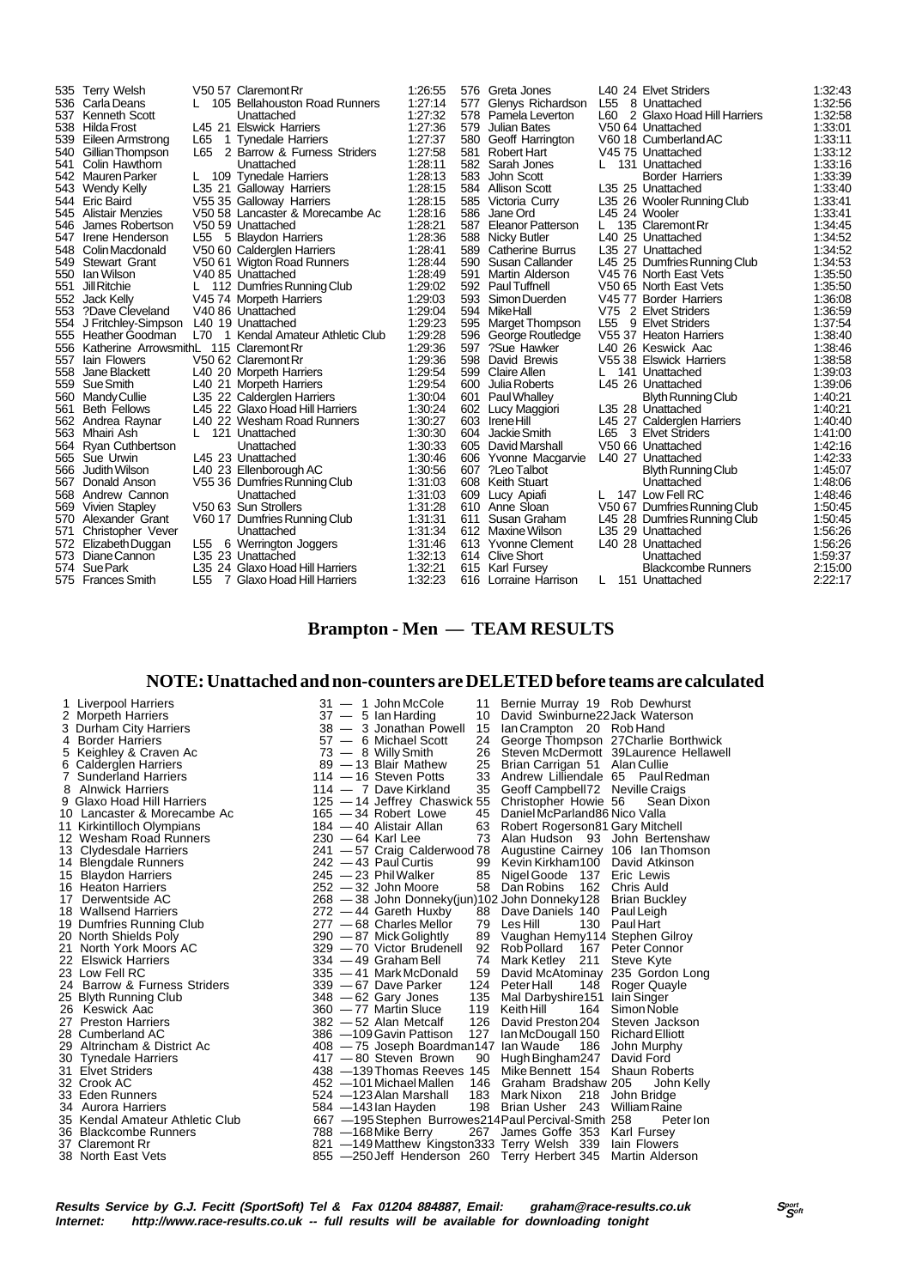| 535 | <b>Terry Welsh</b>                     |                 | V50 57 Claremont Rr             | 1:26:55 |     | 576 Greta Jones          |               | L40 24 Elvet Striders        | 1:32:43 |
|-----|----------------------------------------|-----------------|---------------------------------|---------|-----|--------------------------|---------------|------------------------------|---------|
| 536 | Carla Deans                            |                 | 105 Bellahouston Road Runners   | 1:27:14 | 577 | Glenys Richardson        | L55           | 8 Unattached                 | 1:32:56 |
| 537 | Kenneth Scott                          |                 | Unattached                      | 1.27:32 | 578 | Pamela Leverton          | L60           | 2 Glaxo Hoad Hill Harriers   | 1:32:58 |
| 538 | Hilda Frost                            |                 | L45 21 Elswick Harriers         | 1:27:36 | 579 | Julian Bates             |               | V50 64 Unattached            | 1:33:01 |
| 539 | Eileen Armstrong                       | L65             | 1 Tynedale Harriers             | 1:27:37 | 580 | Geoff Harrington         |               | V60 18 Cumberland AC         | 1:33:11 |
| 540 | Gillian Thompson                       | L65             | 2 Barrow & Furness Striders     | 1:27:58 | 581 | Robert Hart              |               | V4575 Unattached             | 1:33:12 |
| 541 | Colin Hawthorn                         |                 | Unattached                      | 1:28:11 | 582 | Sarah Jones              |               | 131 Unattached               | 1:33:16 |
| 542 | Mauren Parker                          |                 | 109 Tynedale Harriers           | 1:28:13 | 583 | John Scott               |               | <b>Border Harriers</b>       | 1:33:39 |
| 543 | Wendy Kelly                            |                 | L35 21 Galloway Harriers        | 1:28:15 | 584 | Allison Scott            |               | L35 25 Unattached            | 1:33:40 |
| 544 | <b>Eric Baird</b>                      |                 | V55 35 Galloway Harriers        | 1:28:15 | 585 | Victoria Curry           |               | L35 26 Wooler Running Club   | 1:33:41 |
| 545 | Alistair Menzies                       |                 | V50 58 Lancaster & Morecambe Ac | 1:28:16 | 586 | Jane Ord                 | L45 24 Wooler |                              | 1:33:41 |
| 546 | James Robertson                        |                 | V50 59 Unattached               | 1:28:21 | 587 | <b>Eleanor Patterson</b> |               | 135 Claremont Rr             | 1:34:45 |
| 547 | Irene Henderson                        |                 | L55 5 Blaydon Harriers          | 1:28:36 | 588 | Nicky Butler             |               | L40 25 Unattached            | 1:34:52 |
| 548 | Colin Macdonald                        |                 | V50 60 Calderglen Harriers      | 1:28:41 | 589 | <b>Catherine Burrus</b>  |               | L35 27 Unattached            | 1:34:52 |
| 549 | <b>Stewart Grant</b>                   |                 | V50 61 Wigton Road Runners      | 1:28:44 | 590 | Susan Callander          |               | L45 25 Dumfries Running Club | 1:34:53 |
| 550 | lan Wilson                             |                 | V40 85 Unattached               | 1:28:49 | 591 | Martin Alderson          |               | V45 76 North East Vets       | 1:35:50 |
| 551 | Jill Ritchie                           |                 | L 112 Dumfries Running Club     | 1:29:02 | 592 | <b>Paul Tuffnell</b>     |               | V50 65 North East Vets       | 1:35:50 |
| 552 | Jack Kelly                             |                 | V45 74 Morpeth Harriers         | 1:29:03 | 593 | Simon Duerden            |               | V45 77 Border Harriers       | 1:36:08 |
| 553 | ?Dave Cleveland                        |                 | V40 86 Unattached               | 1.29.04 | 594 | MikeHall                 |               | V75 2 Elvet Striders         | 1:36:59 |
| 554 | J Fritchley-Simpson                    |                 | L40 19 Unattached               | 1:29:23 | 595 | <b>Marget Thompson</b>   |               | L55 9 Elvet Striders         | 1:37:54 |
| 555 | Heather Goodman                        | L70             | 1 Kendal Amateur Athletic Club  | 1:29:28 | 596 | George Routledge         |               | V55 37 Heaton Harriers       | 1:38:40 |
| 556 | Katherine ArrowsmithL 115 Claremont Rr |                 |                                 | 1:29:36 | 597 | ?Sue Hawker              |               | L40 26 Keswick Aac           | 1:38:46 |
| 557 | lain Flowers                           |                 | V50 62 Claremont Rr             | 1:29:36 | 598 | David Brewis             |               | V55 38 Elswick Harriers      | 1:38:58 |
| 558 | Jane Blackett                          |                 | L40 20 Morpeth Harriers         | 1:29:54 | 599 | Claire Allen             |               | 141 Unattached               | 1:39:03 |
| 559 | Sue Smith                              |                 | L40 21 Morpeth Harriers         | 1:29:54 | 600 | Julia Roberts            |               | L45 26 Unattached            | 1:39:06 |
| 560 | Mandy Cullie                           |                 | L35 22 Calderglen Harriers      | 1:30:04 | 601 | Paul Whalley             |               | <b>Blyth Running Club</b>    | 1:40:21 |
| 561 | <b>Beth Fellows</b>                    |                 | L45 22 Glaxo Hoad Hill Harriers | 1:30:24 | 602 | Lucy Maggiori            |               | L35 28 Unattached            | 1:40:21 |
| 562 | Andrea Raynar                          |                 | L40 22 Wesham Road Runners      | 1:30:27 |     | 603 Irene Hill           |               | L45 27 Calderglen Harriers   | 1:40:40 |
| 563 | Mhairi Ash                             |                 | 121 Unattached                  | 1:30:30 | 604 | Jackie Smith             |               | L65 3 Elvet Striders         | 1:41:00 |
| 564 | <b>Ryan Cuthbertson</b>                |                 | Unattached                      | 1:30:33 | 605 | David Marshall           |               | V50 66 Unattached            | 1:42:16 |
| 565 | Sue Urwin                              |                 | L45 23 Unattached               | 1.30:46 | 606 | Yvonne Macgarvie         |               | L40 27 Unattached            | 1:42:33 |
| 566 | Judith Wilson                          |                 | L40 23 Ellenborough AC          | 1:30:56 | 607 | ?Leo Talbot              |               | <b>Blyth Running Club</b>    | 1:45:07 |
| 567 | Donald Anson                           |                 | V55 36 Dumfries Running Club    | 1:31:03 | 608 | Keith Stuart             |               | Unattached                   | 1:48:06 |
|     | 568 Andrew Cannon                      |                 | Unattached                      | 1:31:03 | 609 | Lucy Apiafi              |               | L 147 Low Fell RC            | 1:48:46 |
| 569 | <b>Vivien Stapley</b>                  |                 | V50 63 Sun Strollers            | 1:31:28 |     | 610 Anne Sloan           |               | V50 67 Dumfries Running Club | 1:50:45 |
| 570 | Alexander Grant                        |                 | V60 17 Dumfries Running Club    | 1:31:31 | 611 | Susan Graham             |               | L45 28 Dumfries Running Club | 1:50:45 |
| 571 | Christopher Vever                      |                 | Unattached                      | 1:31:34 | 612 | Maxine Wilson            |               | L35 29 Unattached            | 1:56:26 |
|     | 572 Elizabeth Duggan                   | L <sub>55</sub> | 6 Werrington Joggers            | 1:31:46 |     | 613 Yvonne Clement       |               | L40 28 Unattached            | 1:56.26 |
| 573 | Diane Cannon                           |                 | L35 23 Unattached               | 1:32:13 | 614 | Clive Short              |               | Unattached                   | 1.59.37 |
| 574 | Sue Park                               |                 | L35 24 Glaxo Hoad Hill Harriers | 1:32:21 | 615 | Karl Fursey              |               | <b>Blackcombe Runners</b>    | 2:15:00 |
|     | 575 Frances Smith                      | L55             | 7 Glaxo Hoad Hill Harriers      | 1:32:23 | 616 | Lorraine Harrison        | L             | 151 Unattached               | 2:22:17 |

# **Brampton - Men — TEAM RESULTS**

### **NOTE: Unattached and non-counters are DELETED before teams are calculated**

| 4 Border Harriers<br>57 - 6 Michael Scott<br>24<br>73 - 8 Willy Smith<br>5 Keighley & Craven Ac<br>26<br>Steven McDermott 39Laurence Hellawell<br>89 - 13 Blair Mathew<br>6 Calderglen Harriers<br>25<br>Brian Carrigan 51 Alan Cullie<br>$114 - 16$ Steven Potts<br>33<br>7 Sunderland Harriers<br>Andrew Lilliendale 65 Paul Redman<br>8 Alnwick Harriers<br>35<br>Geoff Campbell72 Neville Craigs<br>114 - 7 Dave Kirkland<br>9 Glaxo Hoad Hill Harriers<br>125 - 14 Jeffrey Chaswick 55<br>Christopher Howie 56<br>Sean Dixon<br>10 Lancaster & Morecambe Ac<br>$165 - 34$ Robert Lowe<br>Daniel McParland86 Nico Valla<br>45<br>11 Kirkintilloch Olympians<br>184 — 40 Alistair Allan<br>63<br>Robert Rogerson81 Gary Mitchell<br>12 Wesham Road Runners<br>$230 - 64$ Karl Lee<br>73 Alan Hudson 93 John Bertenshaw<br>241 - 57 Craig Calderwood 78 Augustine Cairney 106 Ian Thomson<br>13 Clydesdale Harriers<br>14 Blengdale Runners<br>$242 - 43$ Paul Curtis<br>99 Kevin Kirkham100 David Atkinson<br>$245 - 23$ Phil Walker<br>15 Blaydon Harriers<br>85<br>Nigel Goode 137 Eric Lewis<br>162 Chris Auld<br>16 Heaton Harriers<br>$252 - 32$ John Moore<br>58 Dan Robins<br>268 - 38 John Donneky(jun) 102 John Donneky 128 Brian Buckley<br>Derwentside AC<br>17<br>272 - 44 Gareth Huxby<br>18 Wallsend Harriers<br>88<br>Dave Daniels 140 Paul Leigh<br>19 Dumfries Running Club<br>277 - 68 Charles Mellor<br>Les Hill<br>130 Paul Hart<br>79<br>20 North Shields Poly<br>89 Vaughan Hemy114 Stephen Gilroy<br>$290 - 87$ Mick Golightly<br>21 North York Moors AC<br>329 - 70 Victor Brudenell<br>92<br>Rob Pollard<br>167 Peter Connor<br>22 Elswick Harriers<br>$334 - 49$ Graham Bell<br>74<br>Mark Ketley 211<br>Steve Kyte<br>David McAtominay 235 Gordon Long<br>23 Low Fell RC<br>335 - 41 Mark McDonald<br>59<br>24 Barrow & Furness Striders<br>339 - 67 Dave Parker<br>148 Roger Quayle<br>124 Peter Hall<br>25 Blyth Running Club<br>$348 - 62$ Gary Jones<br>135<br>Mal Darbyshire151 Iain Singer<br>119<br>Simon Noble<br>26 Keswick Aac<br>360 - 77 Martin Sluce<br>Keith Hill<br>164<br>126<br>27 Preston Harriers<br>382 - 52 Alan Metcalf<br>David Preston 204 Steven Jackson<br>127<br>28 Cumberland AC<br>386 -109 Gavin Pattison<br>Ian McDougall 150 Richard Elliott<br>408 - 75 Joseph Boardman147 Ian Waude<br>29 Altrincham & District Ac<br>186 John Murphy<br>417 - 80 Steven Brown<br>90 Hugh Bingham247 David Ford<br>30 Tynedale Harriers<br>438 -139 Thomas Reeves 145 Mike Bennett 154 Shaun Roberts<br>31 Elvet Striders<br>32 Crook AC<br>452 -101 Michael Mallen<br>146 Graham Bradshaw 205<br>John Kelly<br>33 Eden Runners<br>524 - 123 Alan Marshall<br>183<br>Mark Nixon<br>218<br>John Bridge<br>34 Aurora Harriers<br>198 Brian Usher 243<br>William Raine<br>584 - 143 lan Hayden<br>35 Kendal Amateur Athletic Club<br>667 - 195 Stephen Burrowes 214 Paul Percival-Smith 258<br>Peter lon<br>788 - 168 Mike Berry<br>36 Blackcombe Runners<br>267 James Goffe 353 Karl Fursey<br>821 -149 Matthew Kingston 333 Terry Welsh 339<br>37 Claremont Rr<br>lain Flowers<br>38 North East Vets<br>855 - 250 Jeff Henderson 260 Terry Herbert 345<br>Martin Alderson | $31 - 1$ John McCole<br>Bernie Murray 19 Rob Dewhurst<br>11<br>David Swinburne22 Jack Waterson<br>$37 - 5$ lan Harding<br>10<br>38 - 3 Jonathan Powell<br>15<br>lan Crampton 20 Rob Hand<br>George Thompson 27 Charlie Borthwick | 1 Liverpool Harriers<br>2 Morpeth Harriers<br>3 Durham City Harriers |
|--------------------------------------------------------------------------------------------------------------------------------------------------------------------------------------------------------------------------------------------------------------------------------------------------------------------------------------------------------------------------------------------------------------------------------------------------------------------------------------------------------------------------------------------------------------------------------------------------------------------------------------------------------------------------------------------------------------------------------------------------------------------------------------------------------------------------------------------------------------------------------------------------------------------------------------------------------------------------------------------------------------------------------------------------------------------------------------------------------------------------------------------------------------------------------------------------------------------------------------------------------------------------------------------------------------------------------------------------------------------------------------------------------------------------------------------------------------------------------------------------------------------------------------------------------------------------------------------------------------------------------------------------------------------------------------------------------------------------------------------------------------------------------------------------------------------------------------------------------------------------------------------------------------------------------------------------------------------------------------------------------------------------------------------------------------------------------------------------------------------------------------------------------------------------------------------------------------------------------------------------------------------------------------------------------------------------------------------------------------------------------------------------------------------------------------------------------------------------------------------------------------------------------------------------------------------------------------------------------------------------------------------------------------------------------------------------------------------------------------------------------------------------------------------------------------------------------------------------------------------------------------------------------------------------------------------------------------------------------------------------------------------------------------------------------------------------------------------------------------------------------------------------------------------------------------------------------------------------|----------------------------------------------------------------------------------------------------------------------------------------------------------------------------------------------------------------------------------|----------------------------------------------------------------------|
|--------------------------------------------------------------------------------------------------------------------------------------------------------------------------------------------------------------------------------------------------------------------------------------------------------------------------------------------------------------------------------------------------------------------------------------------------------------------------------------------------------------------------------------------------------------------------------------------------------------------------------------------------------------------------------------------------------------------------------------------------------------------------------------------------------------------------------------------------------------------------------------------------------------------------------------------------------------------------------------------------------------------------------------------------------------------------------------------------------------------------------------------------------------------------------------------------------------------------------------------------------------------------------------------------------------------------------------------------------------------------------------------------------------------------------------------------------------------------------------------------------------------------------------------------------------------------------------------------------------------------------------------------------------------------------------------------------------------------------------------------------------------------------------------------------------------------------------------------------------------------------------------------------------------------------------------------------------------------------------------------------------------------------------------------------------------------------------------------------------------------------------------------------------------------------------------------------------------------------------------------------------------------------------------------------------------------------------------------------------------------------------------------------------------------------------------------------------------------------------------------------------------------------------------------------------------------------------------------------------------------------------------------------------------------------------------------------------------------------------------------------------------------------------------------------------------------------------------------------------------------------------------------------------------------------------------------------------------------------------------------------------------------------------------------------------------------------------------------------------------------------------------------------------------------------------------------------------------------|----------------------------------------------------------------------------------------------------------------------------------------------------------------------------------------------------------------------------------|----------------------------------------------------------------------|

Results Service by G.J. Fecitt (SportSoft) Tel & Fax 01204 884887, Email: graham@race-results.co.uk Sഞ്ഞ<br>Internet: http://www.race-results.co.uk -- full results will be available for downloading tonight